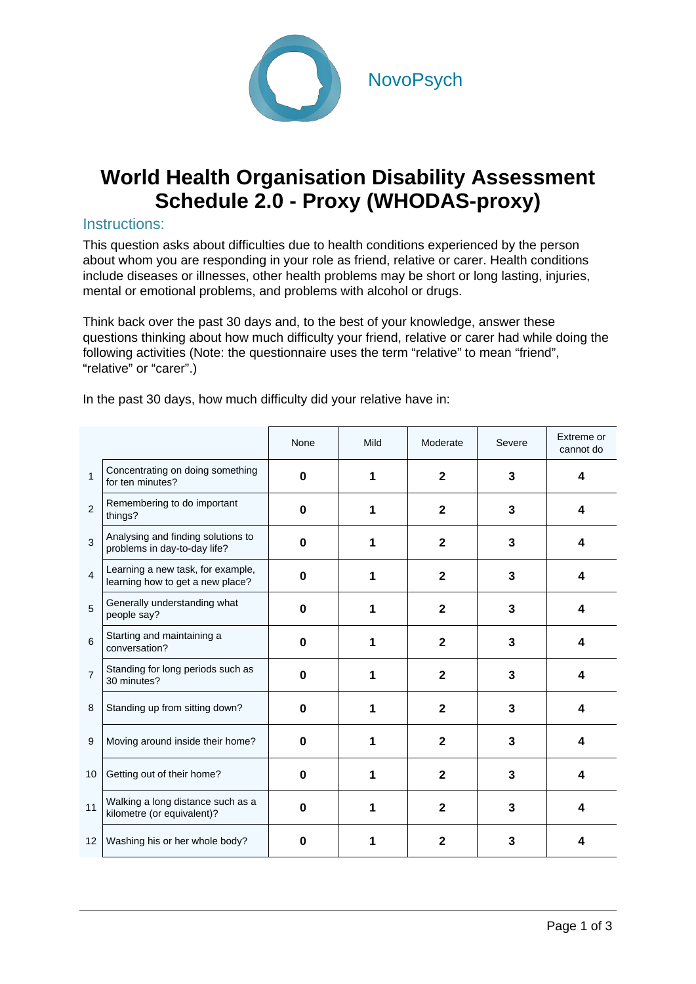

## **World Health Organisation Disability Assessment Schedule 2.0 - Proxy (WHODAS-proxy)**

## Instructions:

This question asks about difficulties due to health conditions experienced by the person about whom you are responding in your role as friend, relative or carer. Health conditions include diseases or illnesses, other health problems may be short or long lasting, injuries, mental or emotional problems, and problems with alcohol or drugs.

Think back over the past 30 days and, to the best of your knowledge, answer these questions thinking about how much difficulty your friend, relative or carer had while doing the following activities (Note: the questionnaire uses the term "relative" to mean "friend", "relative" or "carer".)

|                |                                                                       | None     | Mild | Moderate     | Severe | Extreme or<br>cannot do |
|----------------|-----------------------------------------------------------------------|----------|------|--------------|--------|-------------------------|
| $\mathbf{1}$   | Concentrating on doing something<br>for ten minutes?                  | $\Omega$ |      | $\mathbf{2}$ | 3      | 4                       |
| $\overline{2}$ | Remembering to do important<br>things?                                | $\bf{0}$ |      | $\mathbf{2}$ | 3      | 4                       |
| 3              | Analysing and finding solutions to<br>problems in day-to-day life?    | $\bf{0}$ |      | $\mathbf{2}$ | 3      | 4                       |
| 4              | Learning a new task, for example,<br>learning how to get a new place? | 0        |      | $\mathbf{2}$ | 3      | 4                       |
| 5              | Generally understanding what<br>people say?                           | O        |      | $\mathbf{2}$ | 3      | 4                       |
| 6              | Starting and maintaining a<br>conversation?                           | $\Omega$ |      | $\mathbf{2}$ | 3      | 4                       |
| $\overline{7}$ | Standing for long periods such as<br>30 minutes?                      | $\Omega$ |      | $\mathbf{2}$ | 3      | 4                       |
| 8              | Standing up from sitting down?                                        | $\bf{0}$ |      | $\mathbf{2}$ | 3      | 4                       |
| 9              | Moving around inside their home?                                      | 0        |      | $\mathbf{2}$ | 3      | 4                       |
| 10             | Getting out of their home?                                            | $\bf{0}$ |      | $\mathbf{2}$ | 3      | 4                       |
| 11             | Walking a long distance such as a<br>kilometre (or equivalent)?       | O        |      | $\mathbf{2}$ | 3      | 4                       |
| 12             | Washing his or her whole body?                                        | 0        |      | 2            | 3      | 4                       |

In the past 30 days, how much difficulty did your relative have in: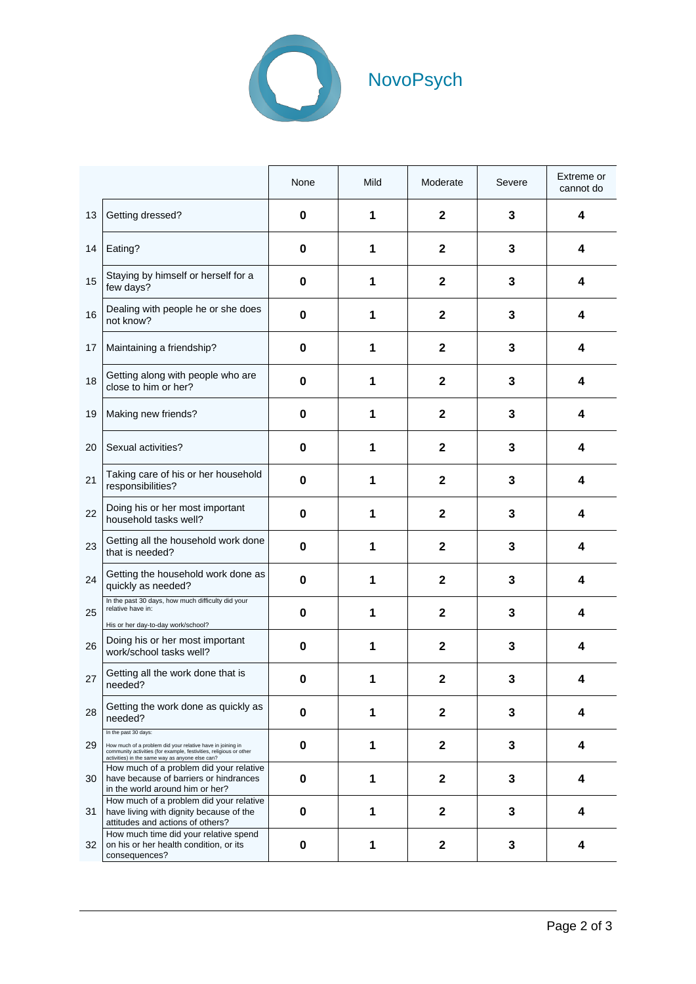

|    |                                                                                                                                                                                                             | None     | Mild | Moderate     | Severe | Extreme or<br>cannot do |
|----|-------------------------------------------------------------------------------------------------------------------------------------------------------------------------------------------------------------|----------|------|--------------|--------|-------------------------|
| 13 | Getting dressed?                                                                                                                                                                                            | 0        | 1    | $\mathbf 2$  | 3      | 4                       |
| 14 | Eating?                                                                                                                                                                                                     | 0        | 1    | $\mathbf 2$  | 3      | 4                       |
| 15 | Staying by himself or herself for a<br>few days?                                                                                                                                                            | $\bf{0}$ | 1    | $\mathbf 2$  | 3      | 4                       |
| 16 | Dealing with people he or she does<br>not know?                                                                                                                                                             | 0        | 1    | $\mathbf{2}$ | 3      | 4                       |
| 17 | Maintaining a friendship?                                                                                                                                                                                   | 0        | 1    | $\mathbf{2}$ | 3      | 4                       |
| 18 | Getting along with people who are<br>close to him or her?                                                                                                                                                   | 0        | 1    | $\mathbf{2}$ | 3      | 4                       |
| 19 | Making new friends?                                                                                                                                                                                         | 0        | 1    | $\mathbf 2$  | 3      | 4                       |
| 20 | Sexual activities?                                                                                                                                                                                          | 0        | 1    | $\mathbf 2$  | 3      | 4                       |
| 21 | Taking care of his or her household<br>responsibilities?                                                                                                                                                    | $\bf{0}$ | 1    | $\mathbf 2$  | 3      | 4                       |
| 22 | Doing his or her most important<br>household tasks well?                                                                                                                                                    | 0        | 1    | $\mathbf 2$  | 3      | 4                       |
| 23 | Getting all the household work done<br>that is needed?                                                                                                                                                      | 0        | 1    | $\mathbf 2$  | 3      | 4                       |
| 24 | Getting the household work done as<br>quickly as needed?                                                                                                                                                    | 0        | 1    | $\mathbf 2$  | 3      | 4                       |
| 25 | In the past 30 days, how much difficulty did your<br>relative have in:<br>His or her day-to-day work/school?                                                                                                | $\bf{0}$ | 1    | $\mathbf 2$  | 3      | 4                       |
| 26 | Doing his or her most important<br>work/school tasks well?                                                                                                                                                  | 0        | 1    | $\mathbf 2$  | 3      | 4                       |
| 27 | Getting all the work done that is<br>needed?                                                                                                                                                                | 0        | 1    | $\mathbf 2$  | 3      | 4                       |
| 28 | Getting the work done as quickly as<br>needed?                                                                                                                                                              | $\bf{0}$ | 1    | $\mathbf 2$  | 3      | 4                       |
| 29 | In the past 30 days:<br>How much of a problem did your relative have in joining in<br>community activities (for example, festivities, religious or other<br>activities) in the same way as anyone else can? | 0        | 1    | $\mathbf 2$  | 3      | 4                       |
| 30 | How much of a problem did your relative<br>have because of barriers or hindrances<br>in the world around him or her?                                                                                        | 0        | 1    | $\mathbf 2$  | 3      | 4                       |
| 31 | How much of a problem did your relative<br>have living with dignity because of the<br>attitudes and actions of others?                                                                                      | 0        | 1    | $\mathbf 2$  | 3      | 4                       |
| 32 | How much time did your relative spend<br>on his or her health condition, or its<br>consequences?                                                                                                            | 0        | 1    | $\mathbf 2$  | 3      | 4                       |